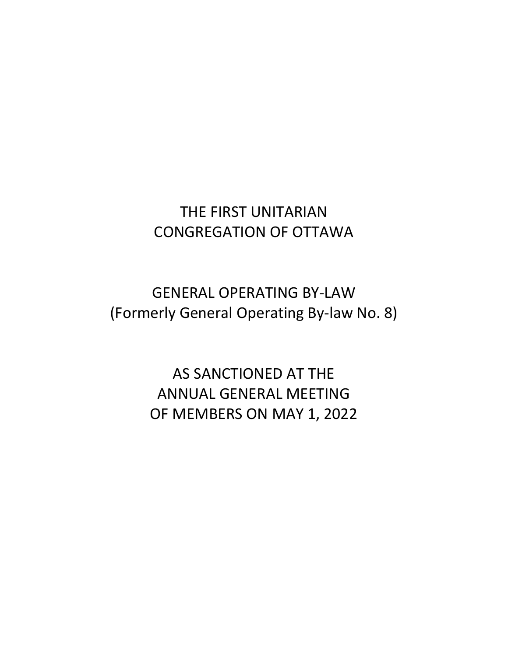# THE FIRST UNITARIAN CONGREGATION OF OTTAWA

GENERAL OPERATING BY-LAW (Formerly General Operating By-law No. 8)

> AS SANCTIONED AT THE ANNUAL GENERAL MEETING OF MEMBERS ON MAY 1, 2022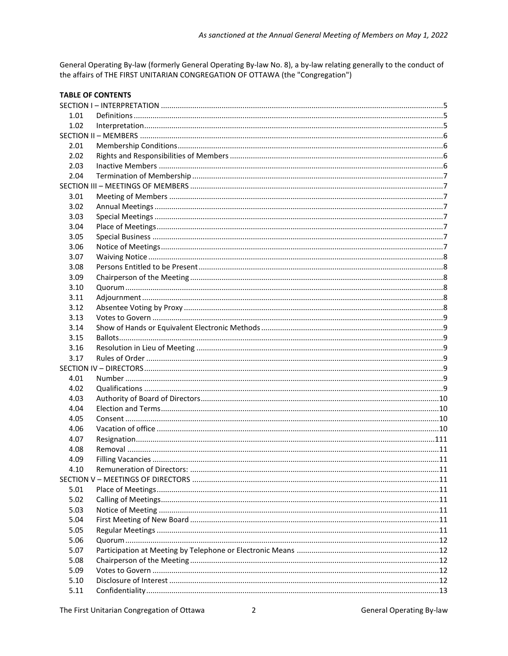General Operating By-law (formerly General Operating By-law No. 8), a by-law relating generally to the conduct of the affairs of THE FIRST UNITARIAN CONGREGATION OF OTTAWA (the "Congregation")

|      | <b>TABLE OF CONTENTS</b> |  |
|------|--------------------------|--|
|      |                          |  |
| 1.01 |                          |  |
| 1.02 |                          |  |
|      |                          |  |
| 2.01 |                          |  |
| 2.02 |                          |  |
| 2.03 |                          |  |
| 2.04 |                          |  |
|      |                          |  |
| 3.01 |                          |  |
| 3.02 |                          |  |
| 3.03 |                          |  |
| 3.04 |                          |  |
| 3.05 |                          |  |
| 3.06 |                          |  |
| 3.07 |                          |  |
| 3.08 |                          |  |
| 3.09 |                          |  |
| 3.10 |                          |  |
| 3.11 |                          |  |
| 3.12 |                          |  |
| 3.13 |                          |  |
| 3.14 |                          |  |
| 3.15 |                          |  |
| 3.16 |                          |  |
| 3.17 |                          |  |
|      |                          |  |
| 4.01 |                          |  |
| 4.02 |                          |  |
| 4.03 |                          |  |
| 4.04 |                          |  |
| 4.05 |                          |  |
| 4.06 |                          |  |
| 4.07 |                          |  |
| 4.08 |                          |  |
| 4.09 | Filling Vacancies        |  |
| 4.10 |                          |  |
|      |                          |  |
| 5.01 |                          |  |
| 5.02 |                          |  |
| 5.03 |                          |  |
| 5.04 |                          |  |
| 5.05 |                          |  |
| 5.06 |                          |  |
| 5.07 |                          |  |
| 5.08 |                          |  |
| 5.09 |                          |  |
| 5.10 |                          |  |
| 5.11 |                          |  |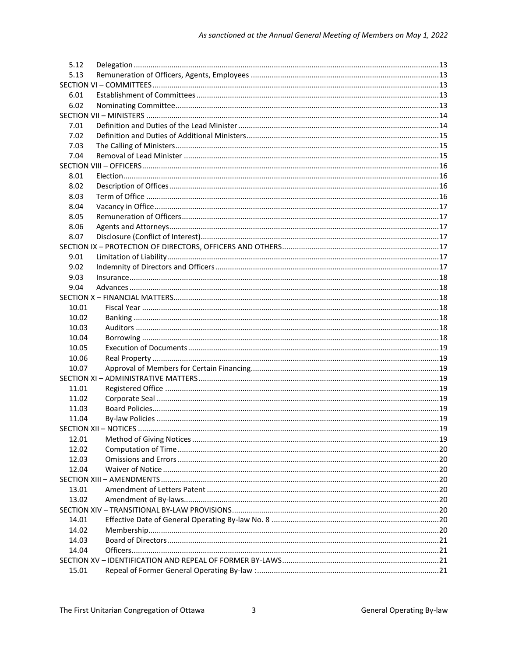| 5.13<br>6.01<br>6.02<br>7.01<br>7.02<br>7.03<br>7.04<br>8.01<br>8.02<br>8.03<br>8.04<br>8.05<br>8.06<br>8.07<br>9.01<br>9.02<br>9.03<br>9.04<br>10.01<br>10.02<br>10.03<br>10.04<br>10.05<br>10.06<br>10.07<br>11.01<br>11.02<br>11.03<br>11.04<br>12.01<br>12.02<br>12.03<br>12.04<br>13.01<br>13.02<br>14.01<br>14.02<br>14.03<br>14.04<br>15.01 | 5.12 |  |  |  |
|----------------------------------------------------------------------------------------------------------------------------------------------------------------------------------------------------------------------------------------------------------------------------------------------------------------------------------------------------|------|--|--|--|
|                                                                                                                                                                                                                                                                                                                                                    |      |  |  |  |
|                                                                                                                                                                                                                                                                                                                                                    |      |  |  |  |
|                                                                                                                                                                                                                                                                                                                                                    |      |  |  |  |
|                                                                                                                                                                                                                                                                                                                                                    |      |  |  |  |
|                                                                                                                                                                                                                                                                                                                                                    |      |  |  |  |
|                                                                                                                                                                                                                                                                                                                                                    |      |  |  |  |
|                                                                                                                                                                                                                                                                                                                                                    |      |  |  |  |
|                                                                                                                                                                                                                                                                                                                                                    |      |  |  |  |
|                                                                                                                                                                                                                                                                                                                                                    |      |  |  |  |
|                                                                                                                                                                                                                                                                                                                                                    |      |  |  |  |
|                                                                                                                                                                                                                                                                                                                                                    |      |  |  |  |
|                                                                                                                                                                                                                                                                                                                                                    |      |  |  |  |
|                                                                                                                                                                                                                                                                                                                                                    |      |  |  |  |
|                                                                                                                                                                                                                                                                                                                                                    |      |  |  |  |
|                                                                                                                                                                                                                                                                                                                                                    |      |  |  |  |
|                                                                                                                                                                                                                                                                                                                                                    |      |  |  |  |
|                                                                                                                                                                                                                                                                                                                                                    |      |  |  |  |
|                                                                                                                                                                                                                                                                                                                                                    |      |  |  |  |
|                                                                                                                                                                                                                                                                                                                                                    |      |  |  |  |
|                                                                                                                                                                                                                                                                                                                                                    |      |  |  |  |
|                                                                                                                                                                                                                                                                                                                                                    |      |  |  |  |
|                                                                                                                                                                                                                                                                                                                                                    |      |  |  |  |
|                                                                                                                                                                                                                                                                                                                                                    |      |  |  |  |
|                                                                                                                                                                                                                                                                                                                                                    |      |  |  |  |
|                                                                                                                                                                                                                                                                                                                                                    |      |  |  |  |
|                                                                                                                                                                                                                                                                                                                                                    |      |  |  |  |
|                                                                                                                                                                                                                                                                                                                                                    |      |  |  |  |
|                                                                                                                                                                                                                                                                                                                                                    |      |  |  |  |
|                                                                                                                                                                                                                                                                                                                                                    |      |  |  |  |
|                                                                                                                                                                                                                                                                                                                                                    |      |  |  |  |
|                                                                                                                                                                                                                                                                                                                                                    |      |  |  |  |
|                                                                                                                                                                                                                                                                                                                                                    |      |  |  |  |
|                                                                                                                                                                                                                                                                                                                                                    |      |  |  |  |
|                                                                                                                                                                                                                                                                                                                                                    |      |  |  |  |
|                                                                                                                                                                                                                                                                                                                                                    |      |  |  |  |
|                                                                                                                                                                                                                                                                                                                                                    |      |  |  |  |
|                                                                                                                                                                                                                                                                                                                                                    |      |  |  |  |
|                                                                                                                                                                                                                                                                                                                                                    |      |  |  |  |
|                                                                                                                                                                                                                                                                                                                                                    |      |  |  |  |
|                                                                                                                                                                                                                                                                                                                                                    |      |  |  |  |
|                                                                                                                                                                                                                                                                                                                                                    |      |  |  |  |
|                                                                                                                                                                                                                                                                                                                                                    |      |  |  |  |
|                                                                                                                                                                                                                                                                                                                                                    |      |  |  |  |
|                                                                                                                                                                                                                                                                                                                                                    |      |  |  |  |
|                                                                                                                                                                                                                                                                                                                                                    |      |  |  |  |
|                                                                                                                                                                                                                                                                                                                                                    |      |  |  |  |
|                                                                                                                                                                                                                                                                                                                                                    |      |  |  |  |
|                                                                                                                                                                                                                                                                                                                                                    |      |  |  |  |
|                                                                                                                                                                                                                                                                                                                                                    |      |  |  |  |
|                                                                                                                                                                                                                                                                                                                                                    |      |  |  |  |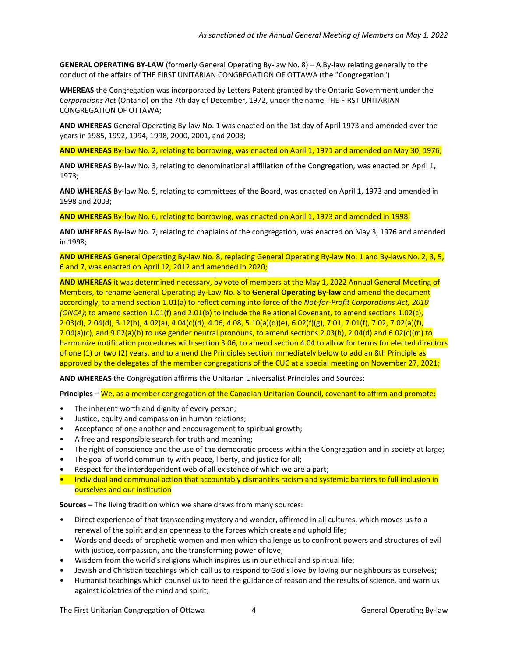**GENERAL OPERATING BY-LAW** (formerly General Operating By-law No. 8) – A By-law relating generally to the conduct of the affairs of THE FIRST UNITARIAN CONGREGATION OF OTTAWA (the "Congregation")

**WHEREAS** the Congregation was incorporated by Letters Patent granted by the Ontario Government under the *Corporations Act* (Ontario) on the 7th day of December, 1972, under the name THE FIRST UNITARIAN CONGREGATION OF OTTAWA;

**AND WHEREAS** General Operating By-law No. 1 was enacted on the 1st day of April 1973 and amended over the years in 1985, 1992, 1994, 1998, 2000, 2001, and 2003;

**AND WHEREAS** By-law No. 2, relating to borrowing, was enacted on April 1, 1971 and amended on May 30, 1976;

**AND WHEREAS** By-law No. 3, relating to denominational affiliation of the Congregation, was enacted on April 1, 1973;

**AND WHEREAS** By-law No. 5, relating to committees of the Board, was enacted on April 1, 1973 and amended in 1998 and 2003;

**AND WHEREAS** By-law No. 6, relating to borrowing, was enacted on April 1, 1973 and amended in 1998;

**AND WHEREAS** By-law No. 7, relating to chaplains of the congregation, was enacted on May 3, 1976 and amended in 1998;

**AND WHEREAS** General Operating By-law No. 8, replacing General Operating By-law No. 1 and By-laws No. 2, 3, 5, 6 and 7, was enacted on April 12, 2012 and amended in 2020;

**AND WHEREAS** it was determined necessary, by vote of members at the May 1, 2022 Annual General Meeting of Members, to rename General Operating By-Law No. 8 to **General Operating By-law** and amend the document accordingly, to amend section 1.01(a) to reflect coming into force of the *Not-for-Profit Corporations Act, 2010 (ONCA)*; to amend section 1.01(f) and 2.01(b) to include the Relational Covenant, to amend sections 1.02(c), 2.03(d), 2.04(d), 3.12(b), 4.02(a), 4.04(c)(d), 4.06, 4.08, 5.10(a)(d)(e), 6.02(f)(g), 7.01, 7.01(f), 7.02, 7.02(a)(f), 7.04(a)(c), and 9.02(a)(b) to use gender neutral pronouns, to amend sections 2.03(b), 2.04(d) and 6.02(c)(m) to harmonize notification procedures with section 3.06, to amend section 4.04 to allow for terms for elected directors of one (1) or two (2) years, and to amend the Principles section immediately below to add an 8th Principle as approved by the delegates of the member congregations of the CUC at a special meeting on November 27, 2021;

**AND WHEREAS** the Congregation affirms the Unitarian Universalist Principles and Sources:

**Principles –** We, as a member congregation of the Canadian Unitarian Council, covenant to affirm and promote:

- The inherent worth and dignity of every person;
- Justice, equity and compassion in human relations;
- Acceptance of one another and encouragement to spiritual growth;
- A free and responsible search for truth and meaning;
- The right of conscience and the use of the democratic process within the Congregation and in society at large;
- The goal of world community with peace, liberty, and justice for all;
- Respect for the interdependent web of all existence of which we are a part;
- Individual and communal action that accountably dismantles racism and systemic barriers to full inclusion in ourselves and our institution

**Sources –** The living tradition which we share draws from many sources:

- Direct experience of that transcending mystery and wonder, affirmed in all cultures, which moves us to a renewal of the spirit and an openness to the forces which create and uphold life;
- Words and deeds of prophetic women and men which challenge us to confront powers and structures of evil with justice, compassion, and the transforming power of love;
- Wisdom from the world's religions which inspires us in our ethical and spiritual life;
- Jewish and Christian teachings which call us to respond to God's love by loving our neighbours as ourselves;
- Humanist teachings which counsel us to heed the guidance of reason and the results of science, and warn us against idolatries of the mind and spirit;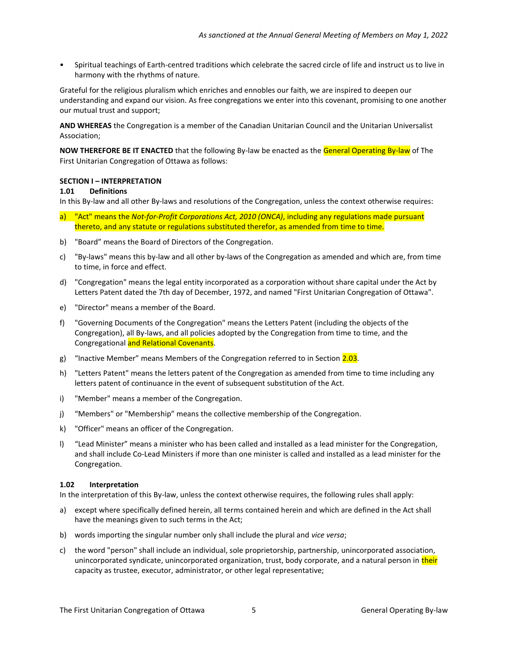• Spiritual teachings of Earth-centred traditions which celebrate the sacred circle of life and instruct us to live in harmony with the rhythms of nature.

Grateful for the religious pluralism which enriches and ennobles our faith, we are inspired to deepen our understanding and expand our vision. As free congregations we enter into this covenant, promising to one another our mutual trust and support;

**AND WHEREAS** the Congregation is a member of the Canadian Unitarian Council and the Unitarian Universalist Association;

**NOW THEREFORE BE IT ENACTED** that the following By-law be enacted as the General Operating By-law of The First Unitarian Congregation of Ottawa as follows:

#### <span id="page-4-0"></span>**SECTION I – INTERPRETATION**

#### <span id="page-4-1"></span>**1.01 Definitions**

In this By-law and all other By-laws and resolutions of the Congregation, unless the context otherwise requires:

- a) "Act" means the *Not-for-Profit Corporations Act, 2010 (ONCA)*, including any regulations made pursuant thereto, and any statute or regulations substituted therefor, as amended from time to time.
- b) "Board" means the Board of Directors of the Congregation.
- c) "By-laws" means this by-law and all other by-laws of the Congregation as amended and which are, from time to time, in force and effect.
- d) "Congregation" means the legal entity incorporated as a corporation without share capital under the Act by Letters Patent dated the 7th day of December, 1972, and named "First Unitarian Congregation of Ottawa".
- e) "Director" means a member of the Board.
- f) "Governing Documents of the Congregation" means the Letters Patent (including the objects of the Congregation), all By-laws, and all policies adopted by the Congregation from time to time, and the Congregational and Relational Covenants.
- g) "Inactive Member" means Members of the Congregation referred to in Section 2.03.
- h) "Letters Patent" means the letters patent of the Congregation as amended from time to time including any letters patent of continuance in the event of subsequent substitution of the Act.
- i) "Member" means a member of the Congregation.
- j) "Members" or "Membership" means the collective membership of the Congregation.
- k) "Officer" means an officer of the Congregation.
- l) "Lead Minister" means a minister who has been called and installed as a lead minister for the Congregation, and shall include Co-Lead Ministers if more than one minister is called and installed as a lead minister for the Congregation.

#### <span id="page-4-2"></span>**1.02 Interpretation**

In the interpretation of this By-law, unless the context otherwise requires, the following rules shall apply:

- a) except where specifically defined herein, all terms contained herein and which are defined in the Act shall have the meanings given to such terms in the Act;
- b) words importing the singular number only shall include the plural and *vice versa*;
- c) the word "person" shall include an individual, sole proprietorship, partnership, unincorporated association, unincorporated syndicate, unincorporated organization, trust, body corporate, and a natural person in their capacity as trustee, executor, administrator, or other legal representative;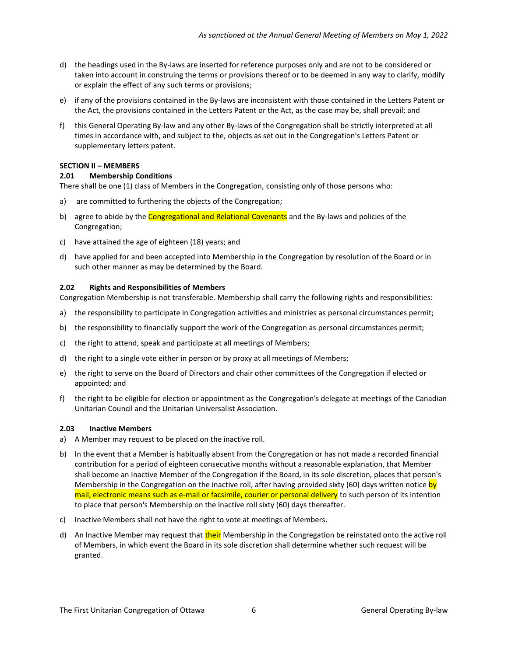- d) the headings used in the By-laws are inserted for reference purposes only and are not to be considered or taken into account in construing the terms or provisions thereof or to be deemed in any way to clarify, modify or explain the effect of any such terms or provisions;
- e) if any of the provisions contained in the By-laws are inconsistent with those contained in the Letters Patent or the Act, the provisions contained in the Letters Patent or the Act, as the case may be, shall prevail; and
- f) this General Operating By-law and any other By-laws of the Congregation shall be strictly interpreted at all times in accordance with, and subject to the, objects as set out in the Congregation's Letters Patent or supplementary letters patent.

#### <span id="page-5-0"></span>**SECTION II – MEMBERS**

#### <span id="page-5-1"></span>**2.01 Membership Conditions**

There shall be one (1) class of Members in the Congregation, consisting only of those persons who:

- a) are committed to furthering the objects of the Congregation;
- b) agree to abide by the Congregational and Relational Covenants and the By-laws and policies of the Congregation;
- c) have attained the age of eighteen (18) years; and
- d) have applied for and been accepted into Membership in the Congregation by resolution of the Board or in such other manner as may be determined by the Board.

#### <span id="page-5-2"></span>**2.02 Rights and Responsibilities of Members**

Congregation Membership is not transferable. Membership shall carry the following rights and responsibilities:

- a) the responsibility to participate in Congregation activities and ministries as personal circumstances permit;
- b) the responsibility to financially support the work of the Congregation as personal circumstances permit;
- c) the right to attend, speak and participate at all meetings of Members;
- d) the right to a single vote either in person or by proxy at all meetings of Members;
- e) the right to serve on the Board of Directors and chair other committees of the Congregation if elected or appointed; and
- f) the right to be eligible for election or appointment as the Congregation's delegate at meetings of the Canadian Unitarian Council and the Unitarian Universalist Association.

#### <span id="page-5-3"></span>**2.03 Inactive Members**

- a) A Member may request to be placed on the inactive roll.
- b) In the event that a Member is habitually absent from the Congregation or has not made a recorded financial contribution for a period of eighteen consecutive months without a reasonable explanation, that Member shall become an Inactive Member of the Congregation if the Board, in its sole discretion, places that person's Membership in the Congregation on the inactive roll, after having provided sixty (60) days written notice by mail, electronic means such as e-mail or facsimile, courier or personal delivery to such person of its intention to place that person's Membership on the inactive roll sixty (60) days thereafter.
- c) Inactive Members shall not have the right to vote at meetings of Members.
- d) An Inactive Member may request that their Membership in the Congregation be reinstated onto the active roll of Members, in which event the Board in its sole discretion shall determine whether such request will be granted.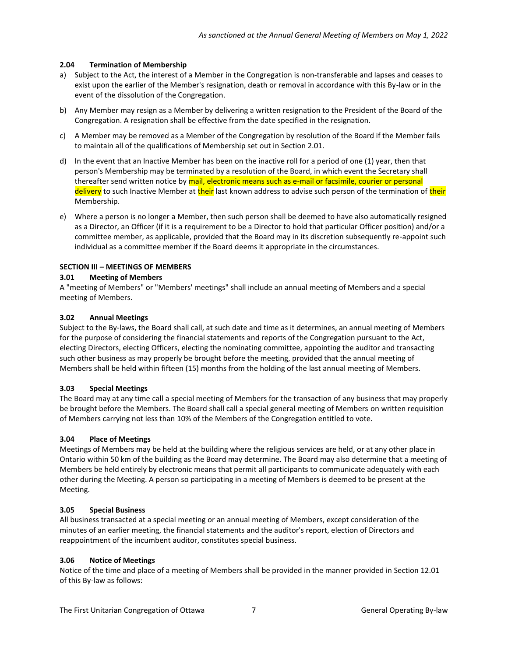# <span id="page-6-0"></span>**2.04 Termination of Membership**

- a) Subject to the Act, the interest of a Member in the Congregation is non-transferable and lapses and ceases to exist upon the earlier of the Member's resignation, death or removal in accordance with this By-law or in the event of the dissolution of the Congregation.
- b) Any Member may resign as a Member by delivering a written resignation to the President of the Board of the Congregation. A resignation shall be effective from the date specified in the resignation.
- c) A Member may be removed as a Member of the Congregation by resolution of the Board if the Member fails to maintain all of the qualifications of Membership set out in Section 2.01.
- d) In the event that an Inactive Member has been on the inactive roll for a period of one (1) year, then that person's Membership may be terminated by a resolution of the Board, in which event the Secretary shall thereafter send written notice by mail, electronic means such as e-mail or facsimile, courier or personal delivery to such Inactive Member at their last known address to advise such person of the termination of their Membership.
- e) Where a person is no longer a Member, then such person shall be deemed to have also automatically resigned as a Director, an Officer (if it is a requirement to be a Director to hold that particular Officer position) and/or a committee member, as applicable, provided that the Board may in its discretion subsequently re-appoint such individual as a committee member if the Board deems it appropriate in the circumstances.

# <span id="page-6-1"></span>**SECTION III – MEETINGS OF MEMBERS**

# <span id="page-6-2"></span>**3.01 Meeting of Members**

A "meeting of Members" or "Members' meetings" shall include an annual meeting of Members and a special meeting of Members.

### <span id="page-6-3"></span>**3.02 Annual Meetings**

Subject to the By-laws, the Board shall call, at such date and time as it determines, an annual meeting of Members for the purpose of considering the financial statements and reports of the Congregation pursuant to the Act, electing Directors, electing Officers, electing the nominating committee, appointing the auditor and transacting such other business as may properly be brought before the meeting, provided that the annual meeting of Members shall be held within fifteen (15) months from the holding of the last annual meeting of Members.

### <span id="page-6-4"></span>**3.03 Special Meetings**

The Board may at any time call a special meeting of Members for the transaction of any business that may properly be brought before the Members. The Board shall call a special general meeting of Members on written requisition of Members carrying not less than 10% of the Members of the Congregation entitled to vote.

### <span id="page-6-5"></span>**3.04 Place of Meetings**

Meetings of Members may be held at the building where the religious services are held, or at any other place in Ontario within 50 km of the building as the Board may determine. The Board may also determine that a meeting of Members be held entirely by electronic means that permit all participants to communicate adequately with each other during the Meeting. A person so participating in a meeting of Members is deemed to be present at the Meeting.

### <span id="page-6-6"></span>**3.05 Special Business**

All business transacted at a special meeting or an annual meeting of Members, except consideration of the minutes of an earlier meeting, the financial statements and the auditor's report, election of Directors and reappointment of the incumbent auditor, constitutes special business.

### <span id="page-6-7"></span>**3.06 Notice of Meetings**

Notice of the time and place of a meeting of Members shall be provided in the manner provided in Section 12.01 of this By-law as follows: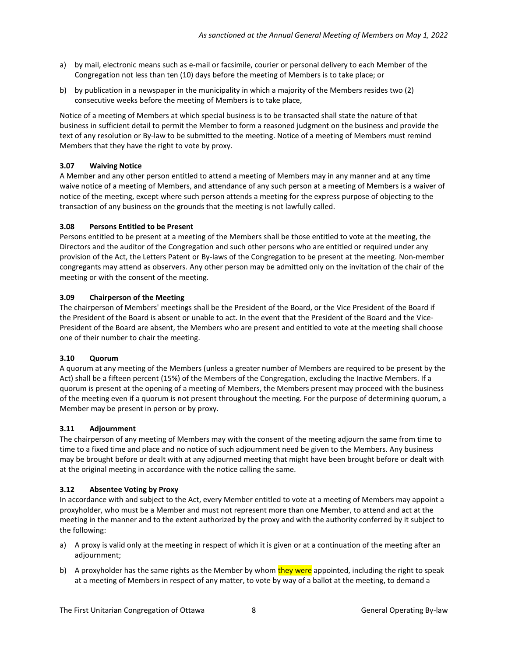- a) by mail, electronic means such as e-mail or facsimile, courier or personal delivery to each Member of the Congregation not less than ten (10) days before the meeting of Members is to take place; or
- b) by publication in a newspaper in the municipality in which a majority of the Members resides two (2) consecutive weeks before the meeting of Members is to take place,

Notice of a meeting of Members at which special business is to be transacted shall state the nature of that business in sufficient detail to permit the Member to form a reasoned judgment on the business and provide the text of any resolution or By-law to be submitted to the meeting. Notice of a meeting of Members must remind Members that they have the right to vote by proxy.

# <span id="page-7-0"></span>**3.07 Waiving Notice**

A Member and any other person entitled to attend a meeting of Members may in any manner and at any time waive notice of a meeting of Members, and attendance of any such person at a meeting of Members is a waiver of notice of the meeting, except where such person attends a meeting for the express purpose of objecting to the transaction of any business on the grounds that the meeting is not lawfully called.

### <span id="page-7-1"></span>**3.08 Persons Entitled to be Present**

Persons entitled to be present at a meeting of the Members shall be those entitled to vote at the meeting, the Directors and the auditor of the Congregation and such other persons who are entitled or required under any provision of the Act, the Letters Patent or By-laws of the Congregation to be present at the meeting. Non-member congregants may attend as observers. Any other person may be admitted only on the invitation of the chair of the meeting or with the consent of the meeting.

# <span id="page-7-2"></span>**3.09 Chairperson of the Meeting**

The chairperson of Members' meetings shall be the President of the Board, or the Vice President of the Board if the President of the Board is absent or unable to act. In the event that the President of the Board and the Vice-President of the Board are absent, the Members who are present and entitled to vote at the meeting shall choose one of their number to chair the meeting.

### <span id="page-7-3"></span>**3.10 Quorum**

A quorum at any meeting of the Members (unless a greater number of Members are required to be present by the Act) shall be a fifteen percent (15%) of the Members of the Congregation, excluding the Inactive Members. If a quorum is present at the opening of a meeting of Members, the Members present may proceed with the business of the meeting even if a quorum is not present throughout the meeting. For the purpose of determining quorum, a Member may be present in person or by proxy.

### <span id="page-7-4"></span>**3.11 Adjournment**

The chairperson of any meeting of Members may with the consent of the meeting adjourn the same from time to time to a fixed time and place and no notice of such adjournment need be given to the Members. Any business may be brought before or dealt with at any adjourned meeting that might have been brought before or dealt with at the original meeting in accordance with the notice calling the same.

### <span id="page-7-5"></span>**3.12 Absentee Voting by Proxy**

In accordance with and subject to the Act, every Member entitled to vote at a meeting of Members may appoint a proxyholder, who must be a Member and must not represent more than one Member, to attend and act at the meeting in the manner and to the extent authorized by the proxy and with the authority conferred by it subject to the following:

- a) A proxy is valid only at the meeting in respect of which it is given or at a continuation of the meeting after an adjournment;
- b) A proxyholder has the same rights as the Member by whom they were appointed, including the right to speak at a meeting of Members in respect of any matter, to vote by way of a ballot at the meeting, to demand a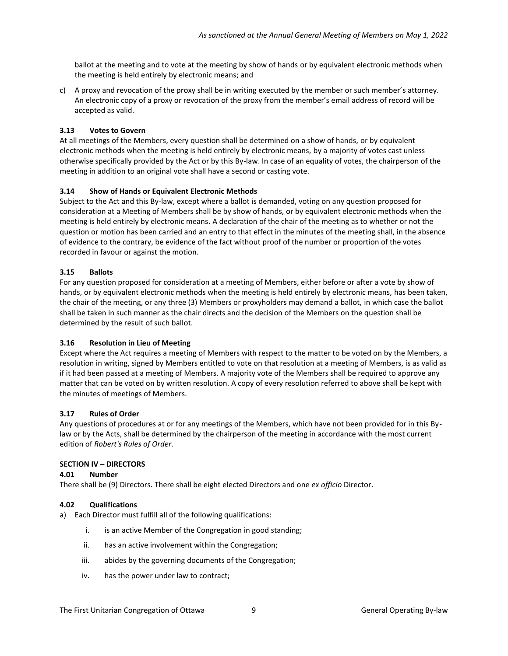ballot at the meeting and to vote at the meeting by show of hands or by equivalent electronic methods when the meeting is held entirely by electronic means; and

c) A proxy and revocation of the proxy shall be in writing executed by the member or such member's attorney. An electronic copy of a proxy or revocation of the proxy from the member's email address of record will be accepted as valid.

# <span id="page-8-0"></span>**3.13 Votes to Govern**

At all meetings of the Members, every question shall be determined on a show of hands, or by equivalent electronic methods when the meeting is held entirely by electronic means, by a majority of votes cast unless otherwise specifically provided by the Act or by this By-law. In case of an equality of votes, the chairperson of the meeting in addition to an original vote shall have a second or casting vote.

# <span id="page-8-1"></span>**3.14 Show of Hands or Equivalent Electronic Methods**

Subject to the Act and this By-law, except where a ballot is demanded, voting on any question proposed for consideration at a Meeting of Members shall be by show of hands, or by equivalent electronic methods when the meeting is held entirely by electronic means**.** A declaration of the chair of the meeting as to whether or not the question or motion has been carried and an entry to that effect in the minutes of the meeting shall, in the absence of evidence to the contrary, be evidence of the fact without proof of the number or proportion of the votes recorded in favour or against the motion.

# <span id="page-8-2"></span>**3.15 Ballots**

For any question proposed for consideration at a meeting of Members, either before or after a vote by show of hands, or by equivalent electronic methods when the meeting is held entirely by electronic means, has been taken, the chair of the meeting, or any three (3) Members or proxyholders may demand a ballot, in which case the ballot shall be taken in such manner as the chair directs and the decision of the Members on the question shall be determined by the result of such ballot.

### <span id="page-8-3"></span>**3.16 Resolution in Lieu of Meeting**

Except where the Act requires a meeting of Members with respect to the matter to be voted on by the Members, a resolution in writing, signed by Members entitled to vote on that resolution at a meeting of Members, is as valid as if it had been passed at a meeting of Members. A majority vote of the Members shall be required to approve any matter that can be voted on by written resolution. A copy of every resolution referred to above shall be kept with the minutes of meetings of Members.

### <span id="page-8-4"></span>**3.17 Rules of Order**

Any questions of procedures at or for any meetings of the Members, which have not been provided for in this Bylaw or by the Acts, shall be determined by the chairperson of the meeting in accordance with the most current edition of *Robert's Rules of Order*.

### <span id="page-8-5"></span>**SECTION IV – DIRECTORS**

<span id="page-8-6"></span>**4.01 Number** 

There shall be (9) Directors. There shall be eight elected Directors and one *ex officio* Director.

### <span id="page-8-7"></span>**4.02 Qualifications**

- a) Each Director must fulfill all of the following qualifications:
	- i. is an active Member of the Congregation in good standing;
	- ii. has an active involvement within the Congregation;
	- iii. abides by the governing documents of the Congregation;
	- iv. has the power under law to contract;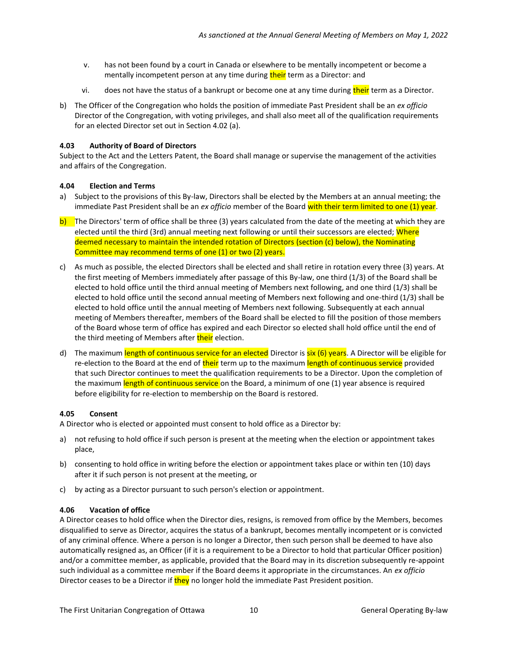- v. has not been found by a court in Canada or elsewhere to be mentally incompetent or become a mentally incompetent person at any time during their term as a Director: and
- vi. does not have the status of a bankrupt or become one at any time during their term as a Director.
- b) The Officer of the Congregation who holds the position of immediate Past President shall be an *ex officio* Director of the Congregation, with voting privileges, and shall also meet all of the qualification requirements for an elected Director set out in Section 4.02 (a).

#### <span id="page-9-0"></span>**4.03 Authority of Board of Directors**

Subject to the Act and the Letters Patent, the Board shall manage or supervise the management of the activities and affairs of the Congregation.

#### <span id="page-9-1"></span>**4.04 Election and Terms**

- a) Subject to the provisions of this By-law, Directors shall be elected by the Members at an annual meeting; the immediate Past President shall be an *ex officio* member of the Board with their term limited to one (1) year.
- b) The Directors' term of office shall be three (3) years calculated from the date of the meeting at which they are elected until the third (3rd) annual meeting next following or until their successors are elected; Where deemed necessary to maintain the intended rotation of Directors (section (c) below), the Nominating Committee may recommend terms of one (1) or two (2) years.
- c) As much as possible, the elected Directors shall be elected and shall retire in rotation every three (3) years. At the first meeting of Members immediately after passage of this By-law, one third (1/3) of the Board shall be elected to hold office until the third annual meeting of Members next following, and one third (1/3) shall be elected to hold office until the second annual meeting of Members next following and one-third (1/3) shall be elected to hold office until the annual meeting of Members next following. Subsequently at each annual meeting of Members thereafter, members of the Board shall be elected to fill the position of those members of the Board whose term of office has expired and each Director so elected shall hold office until the end of the third meeting of Members after their election.
- d) The maximum length of continuous service for an elected Director is  $six(6)$  years. A Director will be eligible for re-election to the Board at the end of their term up to the maximum length of continuous service provided that such Director continues to meet the qualification requirements to be a Director. Upon the completion of the maximum length of continuous service on the Board, a minimum of one (1) year absence is required before eligibility for re-election to membership on the Board is restored.

#### <span id="page-9-2"></span>**4.05 Consent**

A Director who is elected or appointed must consent to hold office as a Director by:

- a) not refusing to hold office if such person is present at the meeting when the election or appointment takes place,
- b) consenting to hold office in writing before the election or appointment takes place or within ten (10) days after it if such person is not present at the meeting, or
- c) by acting as a Director pursuant to such person's election or appointment.

#### <span id="page-9-3"></span>**4.06 Vacation of office**

A Director ceases to hold office when the Director dies, resigns, is removed from office by the Members, becomes disqualified to serve as Director, acquires the status of a bankrupt, becomes mentally incompetent or is convicted of any criminal offence. Where a person is no longer a Director, then such person shall be deemed to have also automatically resigned as, an Officer (if it is a requirement to be a Director to hold that particular Officer position) and/or a committee member, as applicable, provided that the Board may in its discretion subsequently re-appoint such individual as a committee member if the Board deems it appropriate in the circumstances. An *ex officio* Director ceases to be a Director if they no longer hold the immediate Past President position.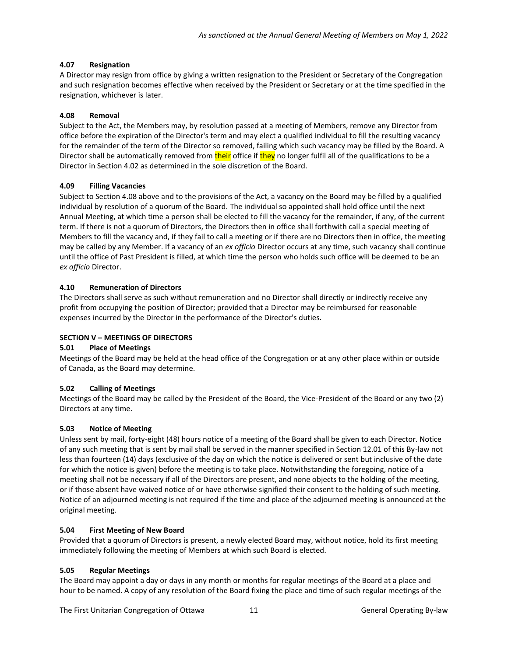# <span id="page-10-0"></span>**4.07 Resignation**

A Director may resign from office by giving a written resignation to the President or Secretary of the Congregation and such resignation becomes effective when received by the President or Secretary or at the time specified in the resignation, whichever is later.

# <span id="page-10-1"></span>**4.08 Removal**

Subject to the Act, the Members may, by resolution passed at a meeting of Members, remove any Director from office before the expiration of the Director's term and may elect a qualified individual to fill the resulting vacancy for the remainder of the term of the Director so removed, failing which such vacancy may be filled by the Board. A Director shall be automatically removed from their office if they no longer fulfil all of the qualifications to be a Director in Section 4.02 as determined in the sole discretion of the Board.

# <span id="page-10-2"></span>**4.09 Filling Vacancies**

Subject to Section 4.08 above and to the provisions of the Act, a vacancy on the Board may be filled by a qualified individual by resolution of a quorum of the Board. The individual so appointed shall hold office until the next Annual Meeting, at which time a person shall be elected to fill the vacancy for the remainder, if any, of the current term. If there is not a quorum of Directors, the Directors then in office shall forthwith call a special meeting of Members to fill the vacancy and, if they fail to call a meeting or if there are no Directors then in office, the meeting may be called by any Member. If a vacancy of an *ex officio* Director occurs at any time, such vacancy shall continue until the office of Past President is filled, at which time the person who holds such office will be deemed to be an *ex officio* Director.

# <span id="page-10-3"></span>**4.10 Remuneration of Directors**

The Directors shall serve as such without remuneration and no Director shall directly or indirectly receive any profit from occupying the position of Director; provided that a Director may be reimbursed for reasonable expenses incurred by the Director in the performance of the Director's duties.

# <span id="page-10-4"></span>**SECTION V – MEETINGS OF DIRECTORS**

### <span id="page-10-5"></span>**5.01 Place of Meetings**

Meetings of the Board may be held at the head office of the Congregation or at any other place within or outside of Canada, as the Board may determine.

### <span id="page-10-6"></span>**5.02 Calling of Meetings**

Meetings of the Board may be called by the President of the Board, the Vice-President of the Board or any two (2) Directors at any time.

### <span id="page-10-7"></span>**5.03 Notice of Meeting**

Unless sent by mail, forty-eight (48) hours notice of a meeting of the Board shall be given to each Director. Notice of any such meeting that is sent by mail shall be served in the manner specified in Section 12.01 of this By-law not less than fourteen (14) days (exclusive of the day on which the notice is delivered or sent but inclusive of the date for which the notice is given) before the meeting is to take place. Notwithstanding the foregoing, notice of a meeting shall not be necessary if all of the Directors are present, and none objects to the holding of the meeting, or if those absent have waived notice of or have otherwise signified their consent to the holding of such meeting. Notice of an adjourned meeting is not required if the time and place of the adjourned meeting is announced at the original meeting.

### <span id="page-10-8"></span>**5.04 First Meeting of New Board**

Provided that a quorum of Directors is present, a newly elected Board may, without notice, hold its first meeting immediately following the meeting of Members at which such Board is elected.

### <span id="page-10-9"></span>**5.05 Regular Meetings**

The Board may appoint a day or days in any month or months for regular meetings of the Board at a place and hour to be named. A copy of any resolution of the Board fixing the place and time of such regular meetings of the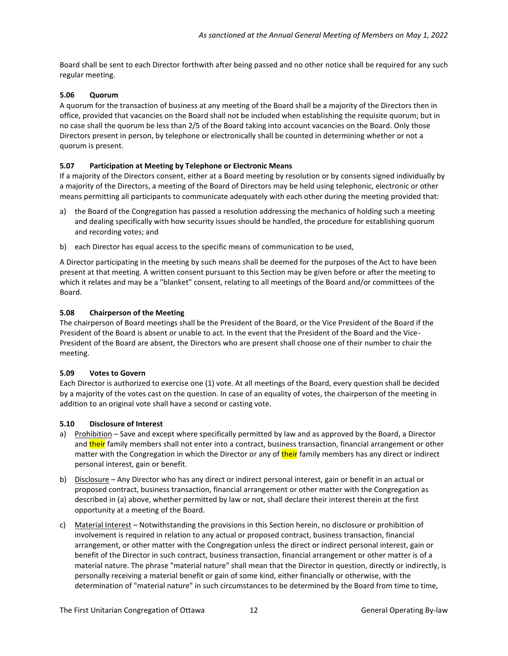Board shall be sent to each Director forthwith after being passed and no other notice shall be required for any such regular meeting.

# <span id="page-11-0"></span>**5.06 Quorum**

A quorum for the transaction of business at any meeting of the Board shall be a majority of the Directors then in office, provided that vacancies on the Board shall not be included when establishing the requisite quorum; but in no case shall the quorum be less than 2/5 of the Board taking into account vacancies on the Board. Only those Directors present in person, by telephone or electronically shall be counted in determining whether or not a quorum is present.

# <span id="page-11-1"></span>**5.07 Participation at Meeting by Telephone or Electronic Means**

If a majority of the Directors consent, either at a Board meeting by resolution or by consents signed individually by a majority of the Directors, a meeting of the Board of Directors may be held using telephonic, electronic or other means permitting all participants to communicate adequately with each other during the meeting provided that:

- a) the Board of the Congregation has passed a resolution addressing the mechanics of holding such a meeting and dealing specifically with how security issues should be handled, the procedure for establishing quorum and recording votes; and
- b) each Director has equal access to the specific means of communication to be used,

A Director participating in the meeting by such means shall be deemed for the purposes of the Act to have been present at that meeting. A written consent pursuant to this Section may be given before or after the meeting to which it relates and may be a "blanket" consent, relating to all meetings of the Board and/or committees of the Board.

# <span id="page-11-2"></span>**5.08 Chairperson of the Meeting**

The chairperson of Board meetings shall be the President of the Board, or the Vice President of the Board if the President of the Board is absent or unable to act. In the event that the President of the Board and the Vice-President of the Board are absent, the Directors who are present shall choose one of their number to chair the meeting.

### <span id="page-11-3"></span>**5.09 Votes to Govern**

Each Director is authorized to exercise one (1) vote. At all meetings of the Board, every question shall be decided by a majority of the votes cast on the question. In case of an equality of votes, the chairperson of the meeting in addition to an original vote shall have a second or casting vote.

### <span id="page-11-4"></span>**5.10 Disclosure of Interest**

- a) Prohibition Save and except where specifically permitted by law and as approved by the Board, a Director and their family members shall not enter into a contract, business transaction, financial arrangement or other matter with the Congregation in which the Director or any of their family members has any direct or indirect personal interest, gain or benefit.
- b) Disclosure Any Director who has any direct or indirect personal interest, gain or benefit in an actual or proposed contract, business transaction, financial arrangement or other matter with the Congregation as described in (a) above, whether permitted by law or not, shall declare their interest therein at the first opportunity at a meeting of the Board.
- c) Material Interest Notwithstanding the provisions in this Section herein, no disclosure or prohibition of involvement is required in relation to any actual or proposed contract, business transaction, financial arrangement, or other matter with the Congregation unless the direct or indirect personal interest, gain or benefit of the Director in such contract, business transaction, financial arrangement or other matter is of a material nature. The phrase "material nature" shall mean that the Director in question, directly or indirectly, is personally receiving a material benefit or gain of some kind, either financially or otherwise, with the determination of "material nature" in such circumstances to be determined by the Board from time to time,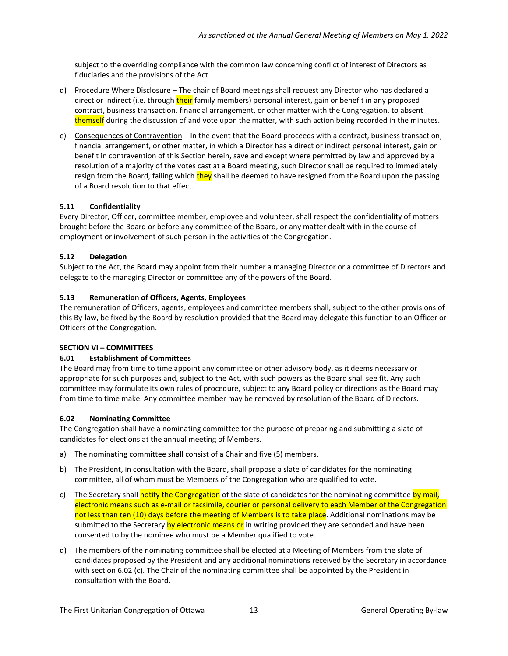subject to the overriding compliance with the common law concerning conflict of interest of Directors as fiduciaries and the provisions of the Act.

- d) Procedure Where Disclosure The chair of Board meetings shall request any Director who has declared a direct or indirect (i.e. through their family members) personal interest, gain or benefit in any proposed contract, business transaction, financial arrangement, or other matter with the Congregation, to absent themself during the discussion of and vote upon the matter, with such action being recorded in the minutes.
- e) Consequences of Contravention In the event that the Board proceeds with a contract, business transaction, financial arrangement, or other matter, in which a Director has a direct or indirect personal interest, gain or benefit in contravention of this Section herein, save and except where permitted by law and approved by a resolution of a majority of the votes cast at a Board meeting, such Director shall be required to immediately resign from the Board, failing which they shall be deemed to have resigned from the Board upon the passing of a Board resolution to that effect.

# <span id="page-12-0"></span>**5.11 Confidentiality**

Every Director, Officer, committee member, employee and volunteer, shall respect the confidentiality of matters brought before the Board or before any committee of the Board, or any matter dealt with in the course of employment or involvement of such person in the activities of the Congregation.

# <span id="page-12-1"></span>**5.12 Delegation**

Subject to the Act, the Board may appoint from their number a managing Director or a committee of Directors and delegate to the managing Director or committee any of the powers of the Board.

# <span id="page-12-2"></span>**5.13 Remuneration of Officers, Agents, Employees**

The remuneration of Officers, agents, employees and committee members shall, subject to the other provisions of this By-law, be fixed by the Board by resolution provided that the Board may delegate this function to an Officer or Officers of the Congregation.

# <span id="page-12-3"></span>**SECTION VI – COMMITTEES**

# <span id="page-12-4"></span>**6.01 Establishment of Committees**

The Board may from time to time appoint any committee or other advisory body, as it deems necessary or appropriate for such purposes and, subject to the Act, with such powers as the Board shall see fit. Any such committee may formulate its own rules of procedure, subject to any Board policy or directions as the Board may from time to time make. Any committee member may be removed by resolution of the Board of Directors.

# <span id="page-12-5"></span>**6.02 Nominating Committee**

The Congregation shall have a nominating committee for the purpose of preparing and submitting a slate of candidates for elections at the annual meeting of Members.

- a) The nominating committee shall consist of a Chair and five (5) members.
- b) The President, in consultation with the Board, shall propose a slate of candidates for the nominating committee, all of whom must be Members of the Congregation who are qualified to vote.
- c) The Secretary shall notify the Congregation of the slate of candidates for the nominating committee by mail, electronic means such as e-mail or facsimile, courier or personal delivery to each Member of the Congregation not less than ten (10) days before the meeting of Members is to take place. Additional nominations may be submitted to the Secretary by electronic means or in writing provided they are seconded and have been consented to by the nominee who must be a Member qualified to vote.
- d) The members of the nominating committee shall be elected at a Meeting of Members from the slate of candidates proposed by the President and any additional nominations received by the Secretary in accordance with section 6.02 (c). The Chair of the nominating committee shall be appointed by the President in consultation with the Board.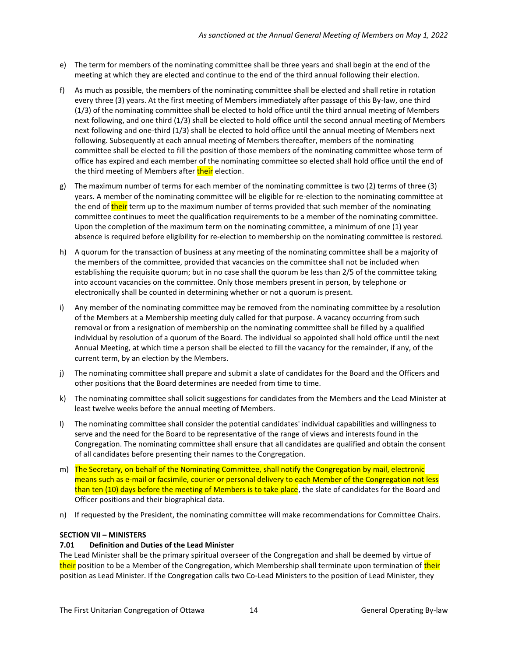- e) The term for members of the nominating committee shall be three years and shall begin at the end of the meeting at which they are elected and continue to the end of the third annual following their election.
- f) As much as possible, the members of the nominating committee shall be elected and shall retire in rotation every three (3) years. At the first meeting of Members immediately after passage of this By-law, one third (1/3) of the nominating committee shall be elected to hold office until the third annual meeting of Members next following, and one third (1/3) shall be elected to hold office until the second annual meeting of Members next following and one-third (1/3) shall be elected to hold office until the annual meeting of Members next following. Subsequently at each annual meeting of Members thereafter, members of the nominating committee shall be elected to fill the position of those members of the nominating committee whose term of office has expired and each member of the nominating committee so elected shall hold office until the end of the third meeting of Members after their election.
- g) The maximum number of terms for each member of the nominating committee is two (2) terms of three (3) years. A member of the nominating committee will be eligible for re-election to the nominating committee at the end of their term up to the maximum number of terms provided that such member of the nominating committee continues to meet the qualification requirements to be a member of the nominating committee. Upon the completion of the maximum term on the nominating committee, a minimum of one (1) year absence is required before eligibility for re-election to membership on the nominating committee is restored.
- h) A quorum for the transaction of business at any meeting of the nominating committee shall be a majority of the members of the committee, provided that vacancies on the committee shall not be included when establishing the requisite quorum; but in no case shall the quorum be less than 2/5 of the committee taking into account vacancies on the committee. Only those members present in person, by telephone or electronically shall be counted in determining whether or not a quorum is present.
- i) Any member of the nominating committee may be removed from the nominating committee by a resolution of the Members at a Membership meeting duly called for that purpose. A vacancy occurring from such removal or from a resignation of membership on the nominating committee shall be filled by a qualified individual by resolution of a quorum of the Board. The individual so appointed shall hold office until the next Annual Meeting, at which time a person shall be elected to fill the vacancy for the remainder, if any, of the current term, by an election by the Members.
- j) The nominating committee shall prepare and submit a slate of candidates for the Board and the Officers and other positions that the Board determines are needed from time to time.
- k) The nominating committee shall solicit suggestions for candidates from the Members and the Lead Minister at least twelve weeks before the annual meeting of Members.
- l) The nominating committee shall consider the potential candidates' individual capabilities and willingness to serve and the need for the Board to be representative of the range of views and interests found in the Congregation. The nominating committee shall ensure that all candidates are qualified and obtain the consent of all candidates before presenting their names to the Congregation.
- m) The Secretary, on behalf of the Nominating Committee, shall notify the Congregation by mail, electronic means such as e-mail or facsimile, courier or personal delivery to each Member of the Congregation not less than ten (10) days before the meeting of Members is to take place, the slate of candidates for the Board and Officer positions and their biographical data.
- n) If requested by the President, the nominating committee will make recommendations for Committee Chairs.

### <span id="page-13-0"></span>**SECTION VII – MINISTERS**

### <span id="page-13-1"></span>**7.01 Definition and Duties of the Lead Minister**

The Lead Minister shall be the primary spiritual overseer of the Congregation and shall be deemed by virtue of their position to be a Member of the Congregation, which Membership shall terminate upon termination of their position as Lead Minister. If the Congregation calls two Co-Lead Ministers to the position of Lead Minister, they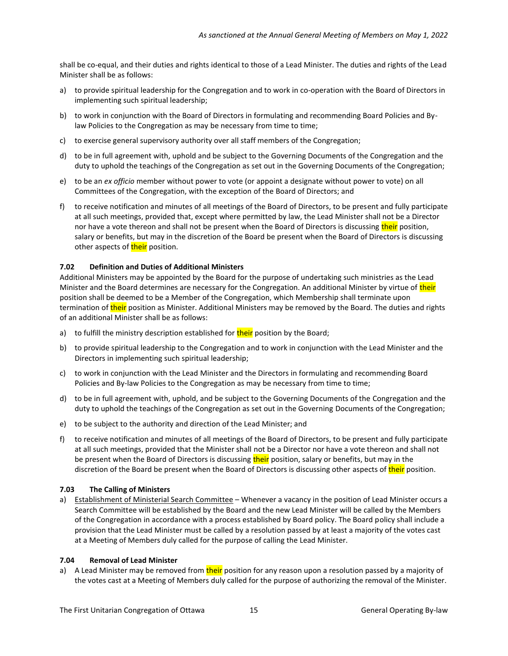shall be co-equal, and their duties and rights identical to those of a Lead Minister. The duties and rights of the Lead Minister shall be as follows:

- a) to provide spiritual leadership for the Congregation and to work in co-operation with the Board of Directors in implementing such spiritual leadership;
- b) to work in conjunction with the Board of Directors in formulating and recommending Board Policies and Bylaw Policies to the Congregation as may be necessary from time to time;
- c) to exercise general supervisory authority over all staff members of the Congregation;
- d) to be in full agreement with, uphold and be subject to the Governing Documents of the Congregation and the duty to uphold the teachings of the Congregation as set out in the Governing Documents of the Congregation;
- e) to be an *ex officio* member without power to vote (or appoint a designate without power to vote) on all Committees of the Congregation, with the exception of the Board of Directors; and
- f) to receive notification and minutes of all meetings of the Board of Directors, to be present and fully participate at all such meetings, provided that, except where permitted by law, the Lead Minister shall not be a Director nor have a vote thereon and shall not be present when the Board of Directors is discussing their position, salary or benefits, but may in the discretion of the Board be present when the Board of Directors is discussing other aspects of **their** position.

#### <span id="page-14-0"></span>**7.02 Definition and Duties of Additional Ministers**

Additional Ministers may be appointed by the Board for the purpose of undertaking such ministries as the Lead Minister and the Board determines are necessary for the Congregation. An additional Minister by virtue of their position shall be deemed to be a Member of the Congregation, which Membership shall terminate upon termination of their position as Minister. Additional Ministers may be removed by the Board. The duties and rights of an additional Minister shall be as follows:

- a) to fulfill the ministry description established for their position by the Board;
- b) to provide spiritual leadership to the Congregation and to work in conjunction with the Lead Minister and the Directors in implementing such spiritual leadership;
- c) to work in conjunction with the Lead Minister and the Directors in formulating and recommending Board Policies and By-law Policies to the Congregation as may be necessary from time to time;
- d) to be in full agreement with, uphold, and be subject to the Governing Documents of the Congregation and the duty to uphold the teachings of the Congregation as set out in the Governing Documents of the Congregation;
- e) to be subject to the authority and direction of the Lead Minister; and
- f) to receive notification and minutes of all meetings of the Board of Directors, to be present and fully participate at all such meetings, provided that the Minister shall not be a Director nor have a vote thereon and shall not be present when the Board of Directors is discussing their position, salary or benefits, but may in the discretion of the Board be present when the Board of Directors is discussing other aspects of their position.

### <span id="page-14-1"></span>**7.03 The Calling of Ministers**

a) Establishment of Ministerial Search Committee - Whenever a vacancy in the position of Lead Minister occurs a Search Committee will be established by the Board and the new Lead Minister will be called by the Members of the Congregation in accordance with a process established by Board policy. The Board policy shall include a provision that the Lead Minister must be called by a resolution passed by at least a majority of the votes cast at a Meeting of Members duly called for the purpose of calling the Lead Minister.

#### <span id="page-14-2"></span>**7.04 Removal of Lead Minister**

a) A Lead Minister may be removed from their position for any reason upon a resolution passed by a majority of the votes cast at a Meeting of Members duly called for the purpose of authorizing the removal of the Minister.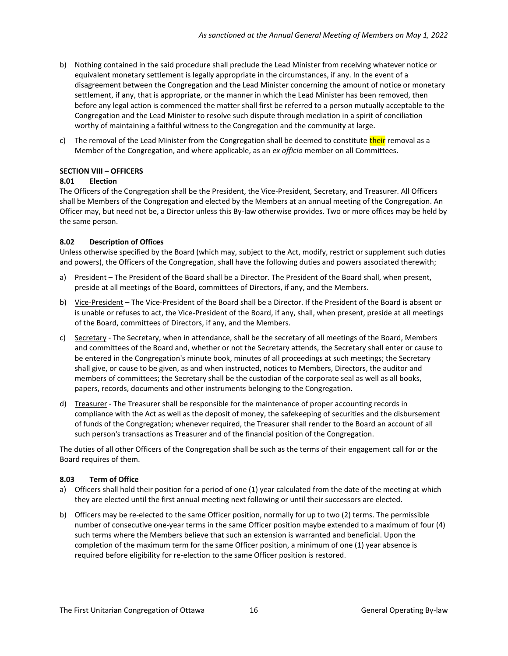- b) Nothing contained in the said procedure shall preclude the Lead Minister from receiving whatever notice or equivalent monetary settlement is legally appropriate in the circumstances, if any. In the event of a disagreement between the Congregation and the Lead Minister concerning the amount of notice or monetary settlement, if any, that is appropriate, or the manner in which the Lead Minister has been removed, then before any legal action is commenced the matter shall first be referred to a person mutually acceptable to the Congregation and the Lead Minister to resolve such dispute through mediation in a spirit of conciliation worthy of maintaining a faithful witness to the Congregation and the community at large.
- c) The removal of the Lead Minister from the Congregation shall be deemed to constitute their removal as a Member of the Congregation, and where applicable, as an *ex officio* member on all Committees.

# <span id="page-15-0"></span>**SECTION VIII – OFFICERS**

### <span id="page-15-1"></span>**8.01 Election**

The Officers of the Congregation shall be the President, the Vice-President, Secretary, and Treasurer. All Officers shall be Members of the Congregation and elected by the Members at an annual meeting of the Congregation. An Officer may, but need not be, a Director unless this By-law otherwise provides. Two or more offices may be held by the same person.

### <span id="page-15-2"></span>**8.02 Description of Offices**

Unless otherwise specified by the Board (which may, subject to the Act, modify, restrict or supplement such duties and powers), the Officers of the Congregation, shall have the following duties and powers associated therewith;

- a) President The President of the Board shall be a Director. The President of the Board shall, when present, preside at all meetings of the Board, committees of Directors, if any, and the Members.
- b) Vice-President The Vice-President of the Board shall be a Director. If the President of the Board is absent or is unable or refuses to act, the Vice-President of the Board, if any, shall, when present, preside at all meetings of the Board, committees of Directors, if any, and the Members.
- c) Secretary The Secretary, when in attendance, shall be the secretary of all meetings of the Board, Members and committees of the Board and, whether or not the Secretary attends, the Secretary shall enter or cause to be entered in the Congregation's minute book, minutes of all proceedings at such meetings; the Secretary shall give, or cause to be given, as and when instructed, notices to Members, Directors, the auditor and members of committees; the Secretary shall be the custodian of the corporate seal as well as all books, papers, records, documents and other instruments belonging to the Congregation.
- d) Treasurer The Treasurer shall be responsible for the maintenance of proper accounting records in compliance with the Act as well as the deposit of money, the safekeeping of securities and the disbursement of funds of the Congregation; whenever required, the Treasurer shall render to the Board an account of all such person's transactions as Treasurer and of the financial position of the Congregation.

The duties of all other Officers of the Congregation shall be such as the terms of their engagement call for or the Board requires of them.

### <span id="page-15-3"></span>**8.03 Term of Office**

- a) Officers shall hold their position for a period of one (1) year calculated from the date of the meeting at which they are elected until the first annual meeting next following or until their successors are elected.
- b) Officers may be re-elected to the same Officer position, normally for up to two (2) terms. The permissible number of consecutive one-year terms in the same Officer position maybe extended to a maximum of four (4) such terms where the Members believe that such an extension is warranted and beneficial. Upon the completion of the maximum term for the same Officer position, a minimum of one (1) year absence is required before eligibility for re-election to the same Officer position is restored.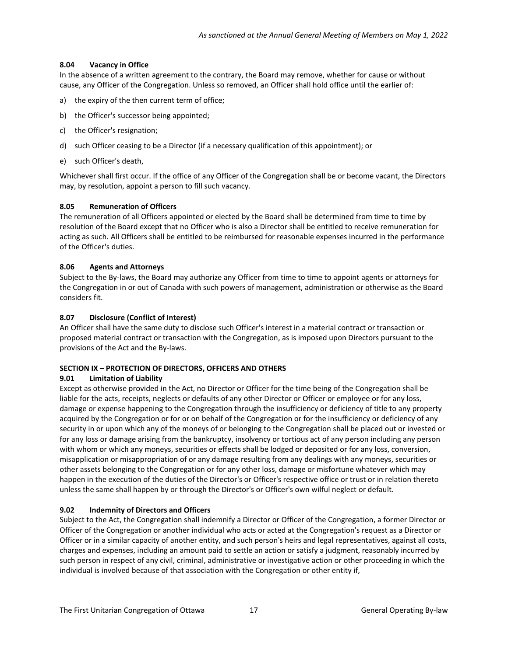# <span id="page-16-0"></span>**8.04 Vacancy in Office**

In the absence of a written agreement to the contrary, the Board may remove, whether for cause or without cause, any Officer of the Congregation. Unless so removed, an Officer shall hold office until the earlier of:

- a) the expiry of the then current term of office;
- b) the Officer's successor being appointed;
- c) the Officer's resignation;
- d) such Officer ceasing to be a Director (if a necessary qualification of this appointment); or
- e) such Officer's death,

Whichever shall first occur. If the office of any Officer of the Congregation shall be or become vacant, the Directors may, by resolution, appoint a person to fill such vacancy.

# <span id="page-16-1"></span>**8.05 Remuneration of Officers**

The remuneration of all Officers appointed or elected by the Board shall be determined from time to time by resolution of the Board except that no Officer who is also a Director shall be entitled to receive remuneration for acting as such. All Officers shall be entitled to be reimbursed for reasonable expenses incurred in the performance of the Officer's duties.

# <span id="page-16-2"></span>**8.06 Agents and Attorneys**

Subject to the By-laws, the Board may authorize any Officer from time to time to appoint agents or attorneys for the Congregation in or out of Canada with such powers of management, administration or otherwise as the Board considers fit.

# <span id="page-16-3"></span>**8.07 Disclosure (Conflict of Interest)**

An Officer shall have the same duty to disclose such Officer's interest in a material contract or transaction or proposed material contract or transaction with the Congregation, as is imposed upon Directors pursuant to the provisions of the Act and the By-laws.

# <span id="page-16-4"></span>**SECTION IX – PROTECTION OF DIRECTORS, OFFICERS AND OTHERS**

### <span id="page-16-5"></span>**9.01 Limitation of Liability**

Except as otherwise provided in the Act, no Director or Officer for the time being of the Congregation shall be liable for the acts, receipts, neglects or defaults of any other Director or Officer or employee or for any loss, damage or expense happening to the Congregation through the insufficiency or deficiency of title to any property acquired by the Congregation or for or on behalf of the Congregation or for the insufficiency or deficiency of any security in or upon which any of the moneys of or belonging to the Congregation shall be placed out or invested or for any loss or damage arising from the bankruptcy, insolvency or tortious act of any person including any person with whom or which any moneys, securities or effects shall be lodged or deposited or for any loss, conversion, misapplication or misappropriation of or any damage resulting from any dealings with any moneys, securities or other assets belonging to the Congregation or for any other loss, damage or misfortune whatever which may happen in the execution of the duties of the Director's or Officer's respective office or trust or in relation thereto unless the same shall happen by or through the Director's or Officer's own wilful neglect or default.

### <span id="page-16-6"></span>**9.02 Indemnity of Directors and Officers**

Subject to the Act, the Congregation shall indemnify a Director or Officer of the Congregation, a former Director or Officer of the Congregation or another individual who acts or acted at the Congregation's request as a Director or Officer or in a similar capacity of another entity, and such person's heirs and legal representatives, against all costs, charges and expenses, including an amount paid to settle an action or satisfy a judgment, reasonably incurred by such person in respect of any civil, criminal, administrative or investigative action or other proceeding in which the individual is involved because of that association with the Congregation or other entity if,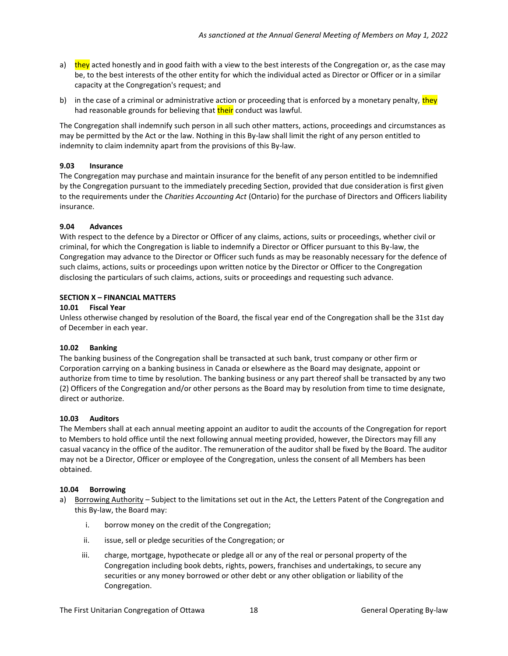- a) they acted honestly and in good faith with a view to the best interests of the Congregation or, as the case may be, to the best interests of the other entity for which the individual acted as Director or Officer or in a similar capacity at the Congregation's request; and
- b) in the case of a criminal or administrative action or proceeding that is enforced by a monetary penalty, they had reasonable grounds for believing that **their** conduct was lawful.

The Congregation shall indemnify such person in all such other matters, actions, proceedings and circumstances as may be permitted by the Act or the law. Nothing in this By-law shall limit the right of any person entitled to indemnity to claim indemnity apart from the provisions of this By-law.

#### <span id="page-17-0"></span>**9.03 Insurance**

The Congregation may purchase and maintain insurance for the benefit of any person entitled to be indemnified by the Congregation pursuant to the immediately preceding Section, provided that due consideration is first given to the requirements under the *Charities Accounting Act* (Ontario) for the purchase of Directors and Officers liability insurance.

#### <span id="page-17-1"></span>**9.04 Advances**

With respect to the defence by a Director or Officer of any claims, actions, suits or proceedings, whether civil or criminal, for which the Congregation is liable to indemnify a Director or Officer pursuant to this By-law, the Congregation may advance to the Director or Officer such funds as may be reasonably necessary for the defence of such claims, actions, suits or proceedings upon written notice by the Director or Officer to the Congregation disclosing the particulars of such claims, actions, suits or proceedings and requesting such advance.

#### <span id="page-17-2"></span>**SECTION X – FINANCIAL MATTERS**

#### <span id="page-17-3"></span>**10.01 Fiscal Year**

Unless otherwise changed by resolution of the Board, the fiscal year end of the Congregation shall be the 31st day of December in each year.

### <span id="page-17-4"></span>**10.02 Banking**

The banking business of the Congregation shall be transacted at such bank, trust company or other firm or Corporation carrying on a banking business in Canada or elsewhere as the Board may designate, appoint or authorize from time to time by resolution. The banking business or any part thereof shall be transacted by any two (2) Officers of the Congregation and/or other persons as the Board may by resolution from time to time designate, direct or authorize.

#### <span id="page-17-5"></span>**10.03 Auditors**

The Members shall at each annual meeting appoint an auditor to audit the accounts of the Congregation for report to Members to hold office until the next following annual meeting provided, however, the Directors may fill any casual vacancy in the office of the auditor. The remuneration of the auditor shall be fixed by the Board. The auditor may not be a Director, Officer or employee of the Congregation, unless the consent of all Members has been obtained.

#### <span id="page-17-6"></span>**10.04 Borrowing**

- a) Borrowing Authority Subject to the limitations set out in the Act, the Letters Patent of the Congregation and this By-law, the Board may:
	- i. borrow money on the credit of the Congregation;
	- ii. issue, sell or pledge securities of the Congregation; or
	- iii. charge, mortgage, hypothecate or pledge all or any of the real or personal property of the Congregation including book debts, rights, powers, franchises and undertakings, to secure any securities or any money borrowed or other debt or any other obligation or liability of the Congregation.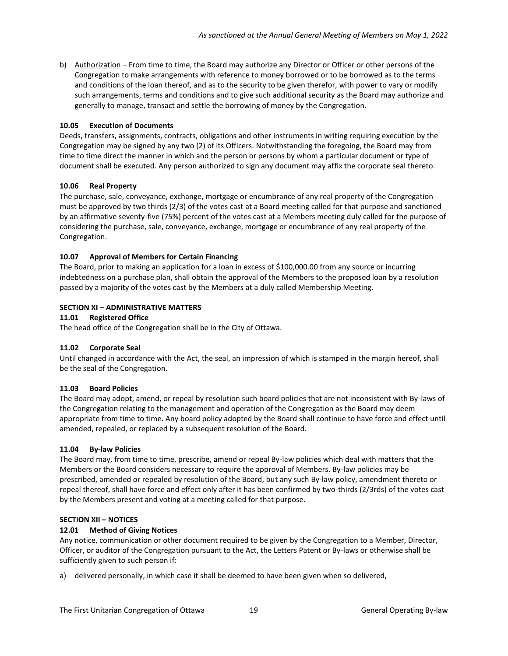b) Authorization – From time to time, the Board may authorize any Director or Officer or other persons of the Congregation to make arrangements with reference to money borrowed or to be borrowed as to the terms and conditions of the loan thereof, and as to the security to be given therefor, with power to vary or modify such arrangements, terms and conditions and to give such additional security as the Board may authorize and generally to manage, transact and settle the borrowing of money by the Congregation.

# <span id="page-18-0"></span>**10.05 Execution of Documents**

Deeds, transfers, assignments, contracts, obligations and other instruments in writing requiring execution by the Congregation may be signed by any two (2) of its Officers. Notwithstanding the foregoing, the Board may from time to time direct the manner in which and the person or persons by whom a particular document or type of document shall be executed. Any person authorized to sign any document may affix the corporate seal thereto.

# <span id="page-18-1"></span>**10.06 Real Property**

The purchase, sale, conveyance, exchange, mortgage or encumbrance of any real property of the Congregation must be approved by two thirds (2/3) of the votes cast at a Board meeting called for that purpose and sanctioned by an affirmative seventy-five (75%) percent of the votes cast at a Members meeting duly called for the purpose of considering the purchase, sale, conveyance, exchange, mortgage or encumbrance of any real property of the Congregation.

# <span id="page-18-2"></span>**10.07 Approval of Members for Certain Financing**

The Board, prior to making an application for a loan in excess of \$100,000.00 from any source or incurring indebtedness on a purchase plan, shall obtain the approval of the Members to the proposed loan by a resolution passed by a majority of the votes cast by the Members at a duly called Membership Meeting.

# <span id="page-18-3"></span>**SECTION XI – ADMINISTRATIVE MATTERS**

### <span id="page-18-4"></span>**11.01 Registered Office**

The head office of the Congregation shall be in the City of Ottawa.

### <span id="page-18-5"></span>**11.02 Corporate Seal**

Until changed in accordance with the Act, the seal, an impression of which is stamped in the margin hereof, shall be the seal of the Congregation.

### <span id="page-18-6"></span>**11.03 Board Policies**

The Board may adopt, amend, or repeal by resolution such board policies that are not inconsistent with By-laws of the Congregation relating to the management and operation of the Congregation as the Board may deem appropriate from time to time. Any board policy adopted by the Board shall continue to have force and effect until amended, repealed, or replaced by a subsequent resolution of the Board.

### <span id="page-18-7"></span>**11.04 By-law Policies**

The Board may, from time to time, prescribe, amend or repeal By-law policies which deal with matters that the Members or the Board considers necessary to require the approval of Members. By-law policies may be prescribed, amended or repealed by resolution of the Board, but any such By-law policy, amendment thereto or repeal thereof, shall have force and effect only after it has been confirmed by two-thirds (2/3rds) of the votes cast by the Members present and voting at a meeting called for that purpose.

### <span id="page-18-8"></span>**SECTION XII – NOTICES**

# <span id="page-18-9"></span>**12.01 Method of Giving Notices**

Any notice, communication or other document required to be given by the Congregation to a Member, Director, Officer, or auditor of the Congregation pursuant to the Act, the Letters Patent or By-laws or otherwise shall be sufficiently given to such person if:

a) delivered personally, in which case it shall be deemed to have been given when so delivered,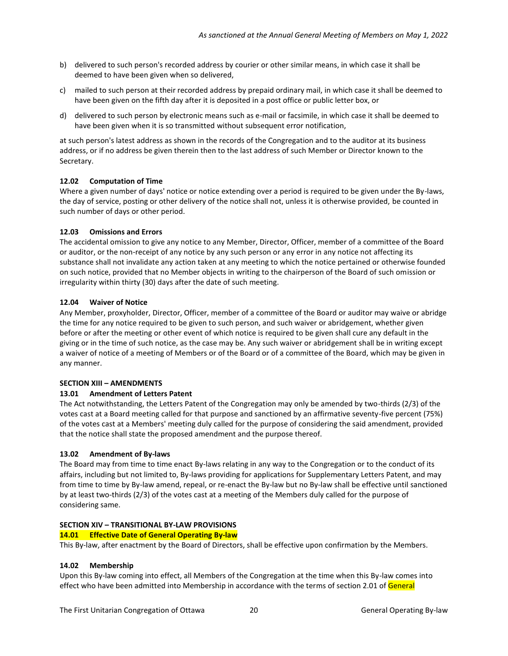- b) delivered to such person's recorded address by courier or other similar means, in which case it shall be deemed to have been given when so delivered,
- c) mailed to such person at their recorded address by prepaid ordinary mail, in which case it shall be deemed to have been given on the fifth day after it is deposited in a post office or public letter box, or
- d) delivered to such person by electronic means such as e-mail or facsimile, in which case it shall be deemed to have been given when it is so transmitted without subsequent error notification,

at such person's latest address as shown in the records of the Congregation and to the auditor at its business address, or if no address be given therein then to the last address of such Member or Director known to the Secretary.

# <span id="page-19-0"></span>**12.02 Computation of Time**

Where a given number of days' notice or notice extending over a period is required to be given under the By-laws, the day of service, posting or other delivery of the notice shall not, unless it is otherwise provided, be counted in such number of days or other period.

# <span id="page-19-1"></span>**12.03 Omissions and Errors**

The accidental omission to give any notice to any Member, Director, Officer, member of a committee of the Board or auditor, or the non-receipt of any notice by any such person or any error in any notice not affecting its substance shall not invalidate any action taken at any meeting to which the notice pertained or otherwise founded on such notice, provided that no Member objects in writing to the chairperson of the Board of such omission or irregularity within thirty (30) days after the date of such meeting.

# <span id="page-19-2"></span>**12.04 Waiver of Notice**

Any Member, proxyholder, Director, Officer, member of a committee of the Board or auditor may waive or abridge the time for any notice required to be given to such person, and such waiver or abridgement, whether given before or after the meeting or other event of which notice is required to be given shall cure any default in the giving or in the time of such notice, as the case may be. Any such waiver or abridgement shall be in writing except a waiver of notice of a meeting of Members or of the Board or of a committee of the Board, which may be given in any manner.

### <span id="page-19-3"></span>**SECTION XIII – AMENDMENTS**

# <span id="page-19-4"></span>**13.01 Amendment of Letters Patent**

The Act notwithstanding, the Letters Patent of the Congregation may only be amended by two-thirds (2/3) of the votes cast at a Board meeting called for that purpose and sanctioned by an affirmative seventy-five percent (75%) of the votes cast at a Members' meeting duly called for the purpose of considering the said amendment, provided that the notice shall state the proposed amendment and the purpose thereof.

### <span id="page-19-5"></span>**13.02 Amendment of By-laws**

The Board may from time to time enact By-laws relating in any way to the Congregation or to the conduct of its affairs, including but not limited to, By-laws providing for applications for Supplementary Letters Patent, and may from time to time by By-law amend, repeal, or re-enact the By-law but no By-law shall be effective until sanctioned by at least two-thirds (2/3) of the votes cast at a meeting of the Members duly called for the purpose of considering same.

### <span id="page-19-6"></span>**SECTION XIV – TRANSITIONAL BY-LAW PROVISIONS**

### <span id="page-19-7"></span>**14.01 Effective Date of General Operating By-law**

This By-law, after enactment by the Board of Directors, shall be effective upon confirmation by the Members.

### <span id="page-19-8"></span>**14.02 Membership**

Upon this By-law coming into effect, all Members of the Congregation at the time when this By-law comes into effect who have been admitted into Membership in accordance with the terms of section 2.01 of General